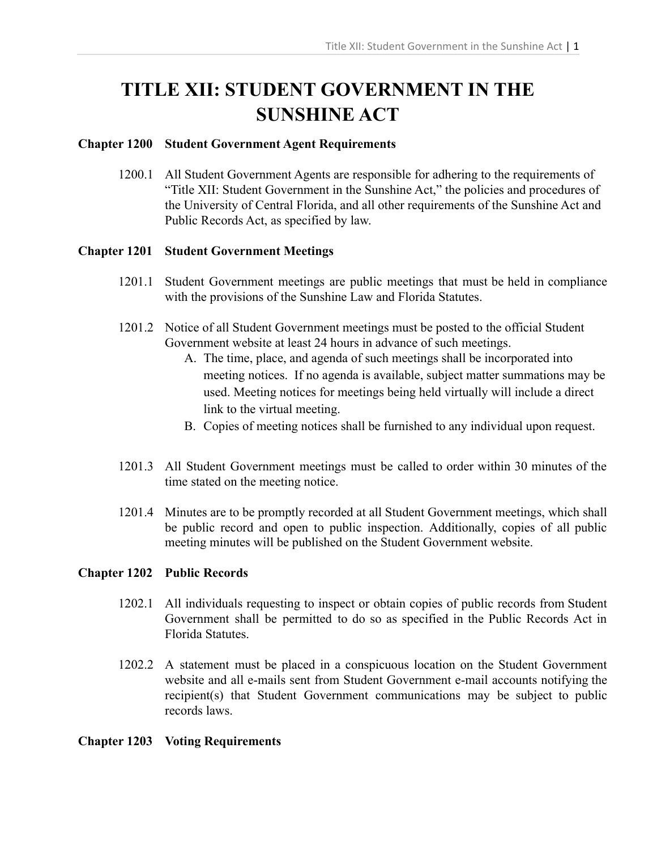# **TITLE XII: STUDENT GOVERNMENT IN THE SUNSHINE ACT**

## **Chapter 1200 Student Government Agent Requirements**

1200.1 All Student Government Agents are responsible for adhering to the requirements of "Title XII: Student Government in the Sunshine Act," the policies and procedures of the University of Central Florida, and all other requirements of the Sunshine Act and Public Records Act, as specified by law.

## **Chapter 1201 Student Government Meetings**

- 1201.1 Student Government meetings are public meetings that must be held in compliance with the provisions of the Sunshine Law and Florida Statutes.
- 1201.2 Notice of all Student Government meetings must be posted to the official Student Government website at least 24 hours in advance of such meetings.
	- A. The time, place, and agenda of such meetings shall be incorporated into meeting notices. If no agenda is available, subject matter summations may be used. Meeting notices for meetings being held virtually will include a direct link to the virtual meeting.
	- B. Copies of meeting notices shall be furnished to any individual upon request.
- 1201.3 All Student Government meetings must be called to order within 30 minutes of the time stated on the meeting notice.
- 1201.4 Minutes are to be promptly recorded at all Student Government meetings, which shall be public record and open to public inspection. Additionally, copies of all public meeting minutes will be published on the Student Government website.

# **Chapter 1202 Public Records**

- 1202.1 All individuals requesting to inspect or obtain copies of public records from Student Government shall be permitted to do so as specified in the Public Records Act in Florida Statutes.
- 1202.2 A statement must be placed in a conspicuous location on the Student Government website and all e-mails sent from Student Government e-mail accounts notifying the recipient(s) that Student Government communications may be subject to public records laws.

## **Chapter 1203 Voting Requirements**